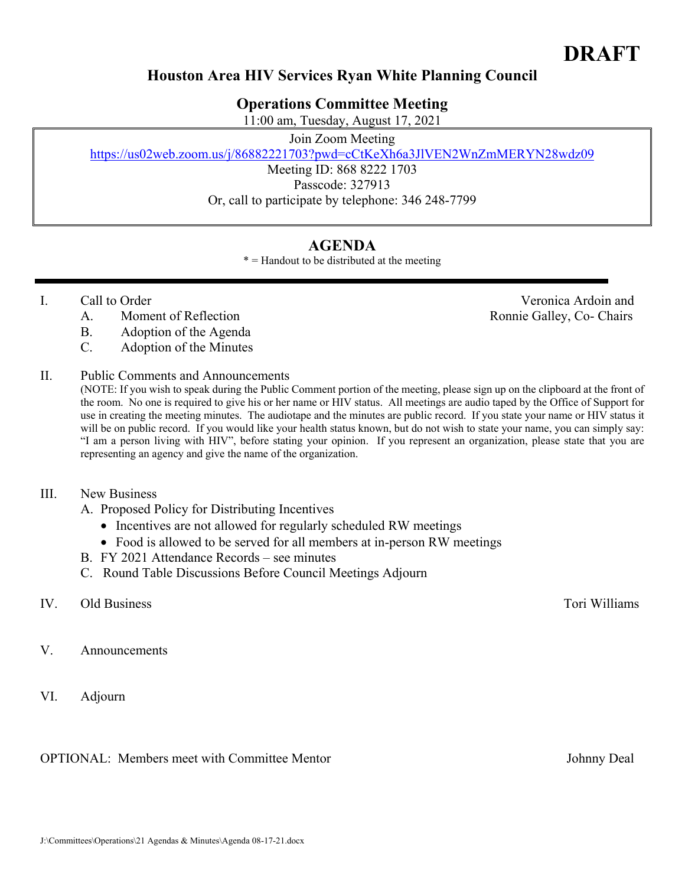# **Houston Area HIV Services Ryan White Planning Council**

## **Operations Committee Meeting**

11:00 am, Tuesday, August 17, 2021

### Join Zoom Meeting

https://us02web.zoom.us/j/86882221703?pwd=cCtKeXh6a3JlVEN2WnZmMERYN28wdz09

Meeting ID: 868 8222 1703 Passcode: 327913 Or, call to participate by telephone: 346 248-7799

# **AGENDA**

 $* =$  Handout to be distributed at the meeting

- - A. Moment of Reflection **Reflection** Ronnie Galley, Co- Chairs
	- B. Adoption of the Agenda
	- C. Adoption of the Minutes
- II. Public Comments and Announcements

(NOTE: If you wish to speak during the Public Comment portion of the meeting, please sign up on the clipboard at the front of the room. No one is required to give his or her name or HIV status. All meetings are audio taped by the Office of Support for use in creating the meeting minutes. The audiotape and the minutes are public record. If you state your name or HIV status it will be on public record. If you would like your health status known, but do not wish to state your name, you can simply say: "I am a person living with HIV", before stating your opinion. If you represent an organization, please state that you are representing an agency and give the name of the organization.

### III. New Business

- A. Proposed Policy for Distributing Incentives
	- Incentives are not allowed for regularly scheduled RW meetings
	- Food is allowed to be served for all members at in-person RW meetings
- B. FY 2021 Attendance Records see minutes
- C. Round Table Discussions Before Council Meetings Adjourn

## IV. Old Business Tori Williams

- V. Announcements
- VI. Adjourn

OPTIONAL: Members meet with Committee Mentor Johnny Deal

J:\Committees\Operations\21 Agendas & Minutes\Agenda 08-17-21.docx

I. Call to Order Veronica Ardoin and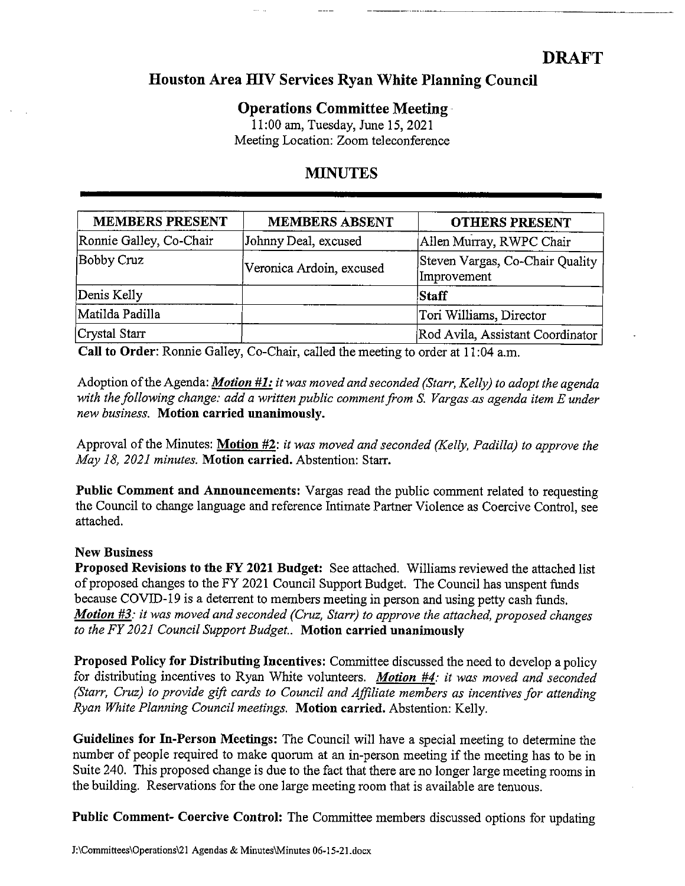# **DRAFT**

## Houston Area HIV Services Ryan White Planning Council

## **Operations Committee Meeting-**

11:00 am, Tuesday, June 15, 2021 Meeting Location: Zoom teleconference

# **MINUTES**

| <b>MEMBERS PRESENT</b>  | <b>MEMBERS ABSENT</b>    | <b>OTHERS PRESENT</b>                          |
|-------------------------|--------------------------|------------------------------------------------|
| Ronnie Galley, Co-Chair | Johnny Deal, excused     | Allen Murray, RWPC Chair                       |
| Bobby Cruz              | Veronica Ardoin, excused | Steven Vargas, Co-Chair Quality<br>Improvement |
| Denis Kelly             |                          | Staff                                          |
| Matilda Padilla         |                          | Tori Williams, Director                        |
| Crystal Starr           |                          | Rod Avila, Assistant Coordinator               |

Call to Order: Ronnie Galley, Co-Chair, called the meeting to order at 11:04 a.m.

Adoption of the Agenda: *Motion #1:* it was moved and seconded (Starr, Kelly) to adopt the agenda with the following change: add a written public comment from S. Vargas as agenda item E under new business. Motion carried unanimously.

Approval of the Minutes: Motion #2: it was moved and seconded (Kelly, Padilla) to approve the May 18, 2021 minutes. Motion carried. Abstention: Starr.

Public Comment and Announcements: Vargas read the public comment related to requesting the Council to change language and reference Intimate Partner Violence as Coercive Control, see attached.

### **New Business**

**Proposed Revisions to the FY 2021 Budget:** See attached. Williams reviewed the attached list of proposed changes to the FY 2021 Council Support Budget. The Council has unspent funds because COVID-19 is a deterrent to members meeting in person and using petty cash funds. Motion #3: it was moved and seconded (Cruz, Starr) to approve the attached, proposed changes to the FY 2021 Council Support Budget. Motion carried unanimously

**Proposed Policy for Distributing Incentives:** Committee discussed the need to develop a policy for distributing incentives to Ryan White volunteers. Motion #4: it was moved and seconded (Starr, Cruz) to provide gift cards to Council and Affiliate members as incentives for attending Ryan White Planning Council meetings. Motion carried. Abstention: Kelly.

Guidelines for In-Person Meetings: The Council will have a special meeting to determine the number of people required to make quorum at an in-person meeting if the meeting has to be in Suite 240. This proposed change is due to the fact that there are no longer large meeting rooms in the building. Reservations for the one large meeting room that is available are tenuous.

**Public Comment- Coercive Control:** The Committee members discussed options for updating